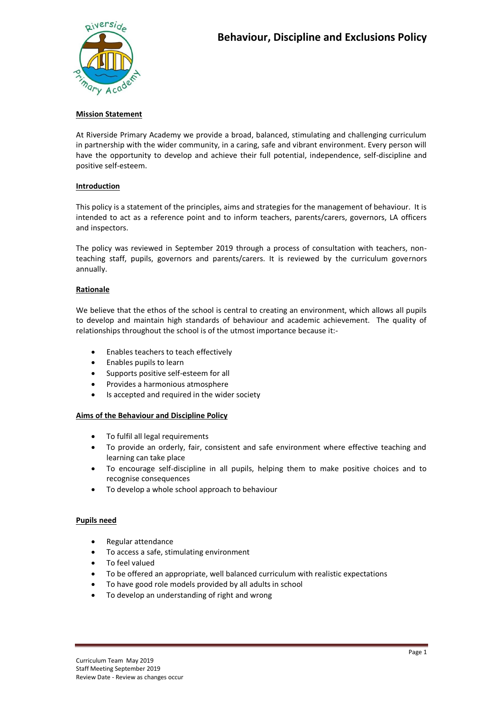# **Mission Statement**

At Riverside Primary Academy we provide a broad, balanced, stimulating and challenging curriculum in partnership with the wider community, in a caring, safe and vibrant environment. Every person will have the opportunity to develop and achieve their full potential, independence, self-discipline and positive self-esteem.

# **Introduction**

This policy is a statement of the principles, aims and strategies for the management of behaviour. It is intended to act as a reference point and to inform teachers, parents/carers, governors, LA officers and inspectors.

The policy was reviewed in September 2019 through a process of consultation with teachers, nonteaching staff, pupils, governors and parents/carers. It is reviewed by the curriculum governors annually.

## **Rationale**

We believe that the ethos of the school is central to creating an environment, which allows all pupils to develop and maintain high standards of behaviour and academic achievement. The quality of relationships throughout the school is of the utmost importance because it:-

- Enables teachers to teach effectively
- Enables pupils to learn
- Supports positive self-esteem for all
- Provides a harmonious atmosphere
- Is accepted and required in the wider society

## **Aims of the Behaviour and Discipline Policy**

- To fulfil all legal requirements
- To provide an orderly, fair, consistent and safe environment where effective teaching and learning can take place
- To encourage self-discipline in all pupils, helping them to make positive choices and to recognise consequences
- To develop a whole school approach to behaviour

## **Pupils need**

- Regular attendance
- To access a safe, stimulating environment
- To feel valued
- To be offered an appropriate, well balanced curriculum with realistic expectations
- To have good role models provided by all adults in school
- To develop an understanding of right and wrong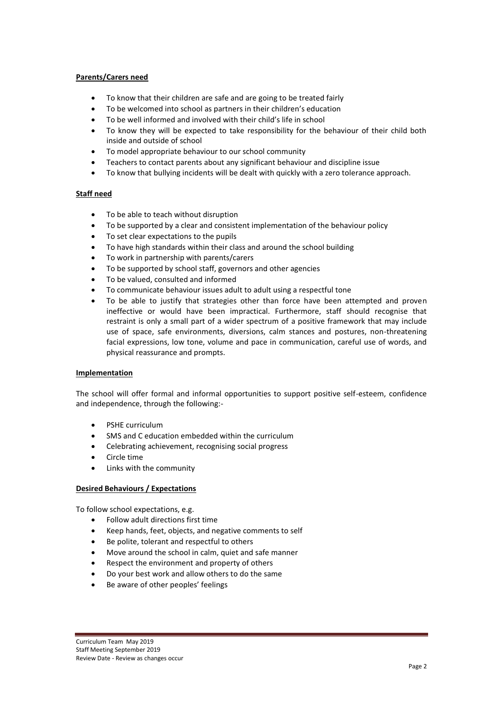## **Parents/Carers need**

- To know that their children are safe and are going to be treated fairly
- To be welcomed into school as partners in their children's education
- To be well informed and involved with their child's life in school
- To know they will be expected to take responsibility for the behaviour of their child both inside and outside of school
- To model appropriate behaviour to our school community
- Teachers to contact parents about any significant behaviour and discipline issue
- To know that bullying incidents will be dealt with quickly with a zero tolerance approach.

# **Staff need**

- To be able to teach without disruption
- To be supported by a clear and consistent implementation of the behaviour policy
- To set clear expectations to the pupils
- To have high standards within their class and around the school building
- To work in partnership with parents/carers
- To be supported by school staff, governors and other agencies
- To be valued, consulted and informed
- To communicate behaviour issues adult to adult using a respectful tone
- To be able to justify that strategies other than force have been attempted and proven ineffective or would have been impractical. Furthermore, staff should recognise that restraint is only a small part of a wider spectrum of a positive framework that may include use of space, safe environments, diversions, calm stances and postures, non-threatening facial expressions, low tone, volume and pace in communication, careful use of words, and physical reassurance and prompts.

## **Implementation**

The school will offer formal and informal opportunities to support positive self-esteem, confidence and independence, through the following:-

- PSHE curriculum
- SMS and C education embedded within the curriculum
- Celebrating achievement, recognising social progress
- Circle time
- Links with the community

## **Desired Behaviours / Expectations**

To follow school expectations, e.g.

- Follow adult directions first time
- Keep hands, feet, objects, and negative comments to self
- Be polite, tolerant and respectful to others
- Move around the school in calm, quiet and safe manner
- Respect the environment and property of others
- Do your best work and allow others to do the same
- Be aware of other peoples' feelings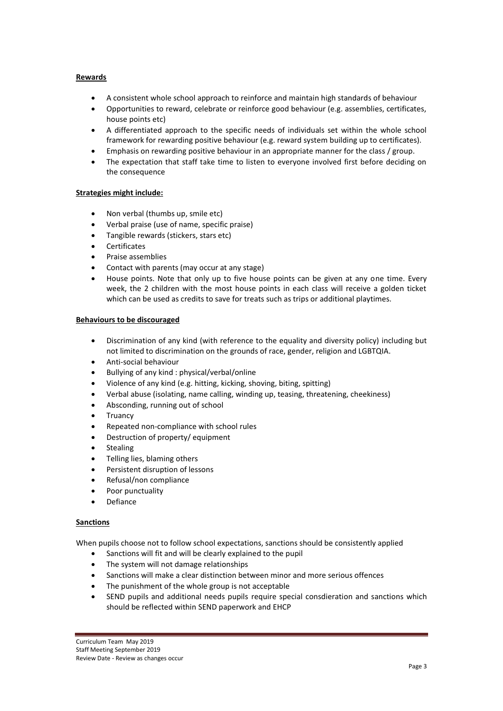## **Rewards**

- A consistent whole school approach to reinforce and maintain high standards of behaviour
- Opportunities to reward, celebrate or reinforce good behaviour (e.g. assemblies, certificates, house points etc)
- A differentiated approach to the specific needs of individuals set within the whole school framework for rewarding positive behaviour (e.g. reward system building up to certificates).
- Emphasis on rewarding positive behaviour in an appropriate manner for the class / group.
- The expectation that staff take time to listen to everyone involved first before deciding on the consequence

#### **Strategies might include:**

- Non verbal (thumbs up, smile etc)
- Verbal praise (use of name, specific praise)
- Tangible rewards (stickers, stars etc)
- **Certificates**
- Praise assemblies
- Contact with parents (may occur at any stage)
- House points. Note that only up to five house points can be given at any one time. Every week, the 2 children with the most house points in each class will receive a golden ticket which can be used as credits to save for treats such as trips or additional playtimes.

#### **Behaviours to be discouraged**

- Discrimination of any kind (with reference to the equality and diversity policy) including but not limited to discrimination on the grounds of race, gender, religion and LGBTQIA.
- Anti-social behaviour
- Bullying of any kind : physical/verbal/online
- Violence of any kind (e.g. hitting, kicking, shoving, biting, spitting)
- Verbal abuse (isolating, name calling, winding up, teasing, threatening, cheekiness)
- Absconding, running out of school
- Truancy
- Repeated non-compliance with school rules
- Destruction of property/ equipment
- Stealing
- Telling lies, blaming others
- Persistent disruption of lessons
- Refusal/non compliance
- Poor punctuality
- Defiance

## **Sanctions**

When pupils choose not to follow school expectations, sanctions should be consistently applied

- Sanctions will fit and will be clearly explained to the pupil
- The system will not damage relationships
- Sanctions will make a clear distinction between minor and more serious offences
- The punishment of the whole group is not acceptable
- SEND pupils and additional needs pupils require special consdieration and sanctions which should be reflected within SEND paperwork and EHCP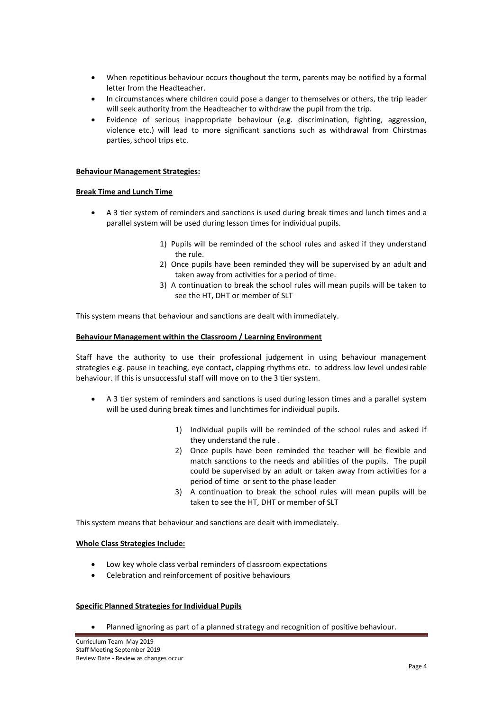- When repetitious behaviour occurs thoughout the term, parents may be notified by a formal letter from the Headteacher.
- In circumstances where children could pose a danger to themselves or others, the trip leader will seek authority from the Headteacher to withdraw the pupil from the trip.
- Evidence of serious inappropriate behaviour (e.g. discrimination, fighting, aggression, violence etc.) will lead to more significant sanctions such as withdrawal from Chirstmas parties, school trips etc.

#### **Behaviour Management Strategies:**

#### **Break Time and Lunch Time**

- A 3 tier system of reminders and sanctions is used during break times and lunch times and a parallel system will be used during lesson times for individual pupils.
	- 1) Pupils will be reminded of the school rules and asked if they understand the rule.
	- 2) Once pupils have been reminded they will be supervised by an adult and taken away from activities for a period of time.
	- 3) A continuation to break the school rules will mean pupils will be taken to see the HT, DHT or member of SLT

This system means that behaviour and sanctions are dealt with immediately.

#### **Behaviour Management within the Classroom / Learning Environment**

Staff have the authority to use their professional judgement in using behaviour management strategies e.g. pause in teaching, eye contact, clapping rhythms etc. to address low level undesirable behaviour. If this is unsuccessful staff will move on to the 3 tier system.

- A 3 tier system of reminders and sanctions is used during lesson times and a parallel system will be used during break times and lunchtimes for individual pupils.
	- 1) Individual pupils will be reminded of the school rules and asked if they understand the rule .
	- 2) Once pupils have been reminded the teacher will be flexible and match sanctions to the needs and abilities of the pupils. The pupil could be supervised by an adult or taken away from activities for a period of time or sent to the phase leader
	- 3) A continuation to break the school rules will mean pupils will be taken to see the HT, DHT or member of SLT

This system means that behaviour and sanctions are dealt with immediately.

#### **Whole Class Strategies Include:**

- Low key whole class verbal reminders of classroom expectations
- Celebration and reinforcement of positive behaviours

## **Specific Planned Strategies for Individual Pupils**

Planned ignoring as part of a planned strategy and recognition of positive behaviour.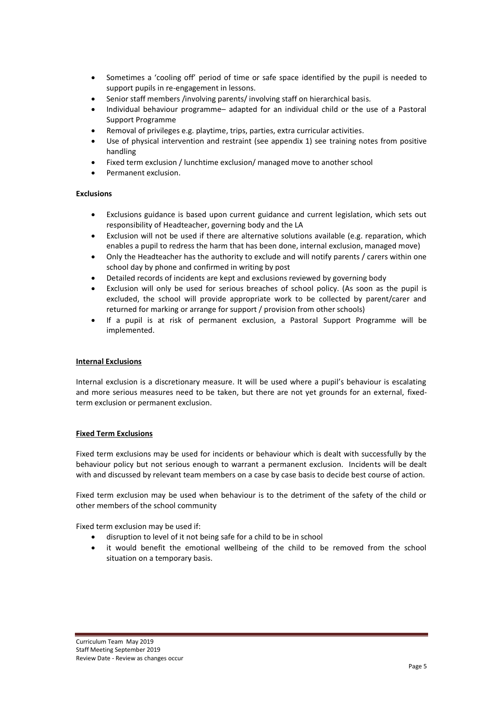- Sometimes a 'cooling off' period of time or safe space identified by the pupil is needed to support pupils in re-engagement in lessons.
- Senior staff members /involving parents/ involving staff on hierarchical basis.
- Individual behaviour programme– adapted for an individual child or the use of a Pastoral Support Programme
- Removal of privileges e.g. playtime, trips, parties, extra curricular activities.
- Use of physical intervention and restraint (see appendix 1) see training notes from positive handling
- Fixed term exclusion / lunchtime exclusion/ managed move to another school
- Permanent exclusion.

## **Exclusions**

- Exclusions guidance is based upon current guidance and current legislation, which sets out responsibility of Headteacher, governing body and the LA
- Exclusion will not be used if there are alternative solutions available (e.g. reparation, which enables a pupil to redress the harm that has been done, internal exclusion, managed move)
- Only the Headteacher has the authority to exclude and will notify parents / carers within one school day by phone and confirmed in writing by post
- Detailed records of incidents are kept and exclusions reviewed by governing body
- Exclusion will only be used for serious breaches of school policy. (As soon as the pupil is excluded, the school will provide appropriate work to be collected by parent/carer and returned for marking or arrange for support / provision from other schools)
- If a pupil is at risk of permanent exclusion, a Pastoral Support Programme will be implemented.

## **Internal Exclusions**

Internal exclusion is a discretionary measure. It will be used where a pupil's behaviour is escalating and more serious measures need to be taken, but there are not yet grounds for an external, fixedterm exclusion or permanent exclusion.

## **Fixed Term Exclusions**

Fixed term exclusions may be used for incidents or behaviour which is dealt with successfully by the behaviour policy but not serious enough to warrant a permanent exclusion. Incidents will be dealt with and discussed by relevant team members on a case by case basis to decide best course of action.

Fixed term exclusion may be used when behaviour is to the detriment of the safety of the child or other members of the school community

Fixed term exclusion may be used if:

- disruption to level of it not being safe for a child to be in school
- it would benefit the emotional wellbeing of the child to be removed from the school situation on a temporary basis.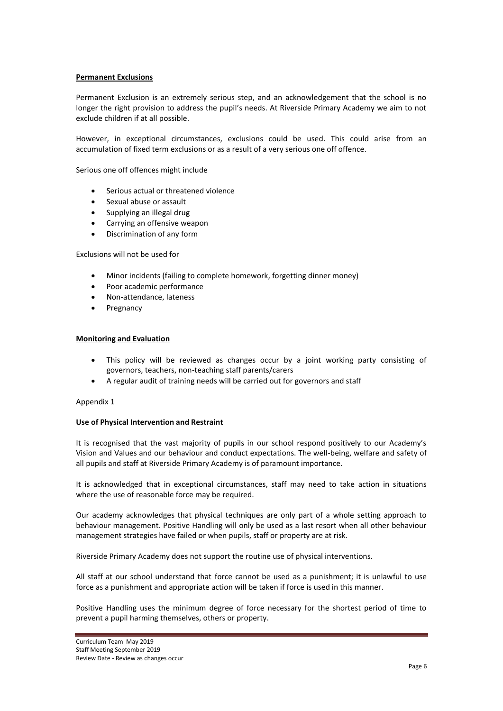#### **Permanent Exclusions**

Permanent Exclusion is an extremely serious step, and an acknowledgement that the school is no longer the right provision to address the pupil's needs. At Riverside Primary Academy we aim to not exclude children if at all possible.

However, in exceptional circumstances, exclusions could be used. This could arise from an accumulation of fixed term exclusions or as a result of a very serious one off offence.

Serious one off offences might include

- Serious actual or threatened violence
- Sexual abuse or assault
- Supplying an illegal drug
- Carrying an offensive weapon
- Discrimination of any form

Exclusions will not be used for

- Minor incidents (failing to complete homework, forgetting dinner money)
- Poor academic performance
- Non-attendance, lateness
- Pregnancy

#### **Monitoring and Evaluation**

- This policy will be reviewed as changes occur by a joint working party consisting of governors, teachers, non-teaching staff parents/carers
- A regular audit of training needs will be carried out for governors and staff

#### Appendix 1

#### **Use of Physical Intervention and Restraint**

It is recognised that the vast majority of pupils in our school respond positively to our Academy's Vision and Values and our behaviour and conduct expectations. The well-being, welfare and safety of all pupils and staff at Riverside Primary Academy is of paramount importance.

It is acknowledged that in exceptional circumstances, staff may need to take action in situations where the use of reasonable force may be required.

Our academy acknowledges that physical techniques are only part of a whole setting approach to behaviour management. Positive Handling will only be used as a last resort when all other behaviour management strategies have failed or when pupils, staff or property are at risk.

Riverside Primary Academy does not support the routine use of physical interventions.

All staff at our school understand that force cannot be used as a punishment; it is unlawful to use force as a punishment and appropriate action will be taken if force is used in this manner.

Positive Handling uses the minimum degree of force necessary for the shortest period of time to prevent a pupil harming themselves, others or property.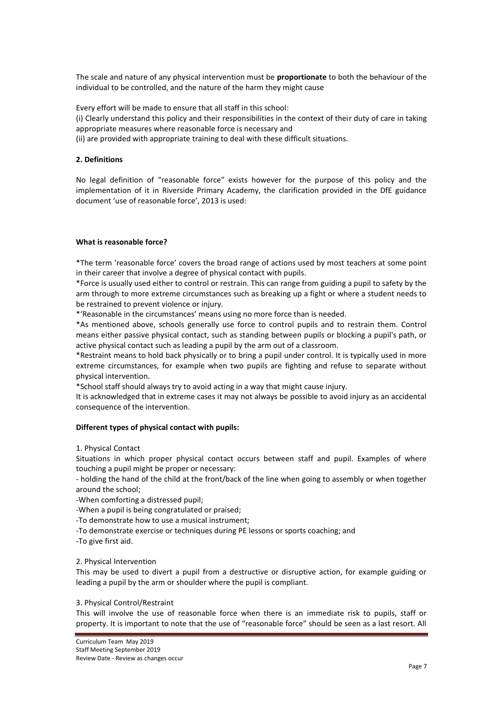The scale and nature of any physical intervention must be **proportionate** to both the behaviour of the individual to be controlled, and the nature of the harm they might cause

Every effort will be made to ensure that all staff in this school:

(i) Clearly understand this policy and their responsibilities in the context of their duty of care in taking appropriate measures where reasonable force is necessary and

(ii) are provided with appropriate training to deal with these difficult situations.

## **2. Definitions**

No legal definition of "reasonable force" exists however for the purpose of this policy and the implementation of it in Riverside Primary Academy, the clarification provided in the DfE guidance document 'use of reasonable force', 2013 is used:

## **What is reasonable force?**

\*The term 'reasonable force' covers the broad range of actions used by most teachers at some point in their career that involve a degree of physical contact with pupils.

\*Force is usually used either to control or restrain. This can range from guiding a pupil to safety by the arm through to more extreme circumstances such as breaking up a fight or where a student needs to be restrained to prevent violence or injury.

\*'Reasonable in the circumstances' means using no more force than is needed.

\*As mentioned above, schools generally use force to control pupils and to restrain them. Control means either passive physical contact, such as standing between pupils or blocking a pupil's path, or active physical contact such as leading a pupil by the arm out of a classroom.

\*Restraint means to hold back physically or to bring a pupil under control. It is typically used in more extreme circumstances, for example when two pupils are fighting and refuse to separate without physical intervention.

\*School staff should always try to avoid acting in a way that might cause injury.

It is acknowledged that in extreme cases it may not always be possible to avoid injury as an accidental consequence of the intervention.

## **Different types of physical contact with pupils:**

## 1. Physical Contact

Situations in which proper physical contact occurs between staff and pupil. Examples of where touching a pupil might be proper or necessary:

- holding the hand of the child at the front/back of the line when going to assembly or when together around the school;

-When comforting a distressed pupil;

-When a pupil is being congratulated or praised;

-To demonstrate how to use a musical instrument;

-To demonstrate exercise or techniques during PE lessons or sports coaching; and

-To give first aid.

## 2. Physical Intervention

This may be used to divert a pupil from a destructive or disruptive action, for example guiding or leading a pupil by the arm or shoulder where the pupil is compliant.

#### 3. Physical Control/Restraint

This will involve the use of reasonable force when there is an immediate risk to pupils, staff or property. It is important to note that the use of "reasonable force" should be seen as a last resort. All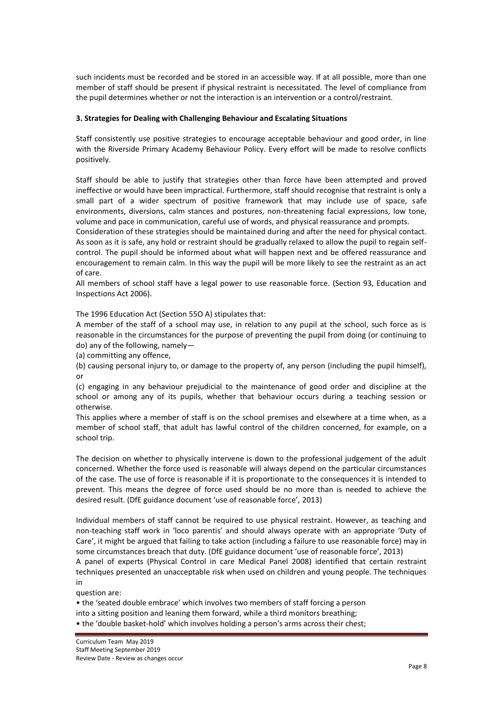such incidents must be recorded and be stored in an accessible way. If at all possible, more than one member of staff should be present if physical restraint is necessitated. The level of compliance from the pupil determines whether or not the interaction is an intervention or a control/restraint.

## **3. Strategies for Dealing with Challenging Behaviour and Escalating Situations**

Staff consistently use positive strategies to encourage acceptable behaviour and good order, in line with the Riverside Primary Academy Behaviour Policy. Every effort will be made to resolve conflicts positively.

Staff should be able to justify that strategies other than force have been attempted and proved ineffective or would have been impractical. Furthermore, staff should recognise that restraint is only a small part of a wider spectrum of positive framework that may include use of space, safe environments, diversions, calm stances and postures, non-threatening facial expressions, low tone, volume and pace in communication, careful use of words, and physical reassurance and prompts.

Consideration of these strategies should be maintained during and after the need for physical contact. As soon as it is safe, any hold or restraint should be gradually relaxed to allow the pupil to regain selfcontrol. The pupil should be informed about what will happen next and be offered reassurance and encouragement to remain calm. In this way the pupil will be more likely to see the restraint as an act of care.

All members of school staff have a legal power to use reasonable force. (Section 93, Education and Inspections Act 2006).

The 1996 Education Act (Section 55O A) stipulates that:

A member of the staff of a school may use, in relation to any pupil at the school, such force as is reasonable in the circumstances for the purpose of preventing the pupil from doing (or continuing to do) any of the following, namely—

(a) committing any offence,

(b) causing personal injury to, or damage to the property of, any person (including the pupil himself), or

(c) engaging in any behaviour prejudicial to the maintenance of good order and discipline at the school or among any of its pupils, whether that behaviour occurs during a teaching session or otherwise.

This applies where a member of staff is on the school premises and elsewhere at a time when, as a member of school staff, that adult has lawful control of the children concerned, for example, on a school trip.

The decision on whether to physically intervene is down to the professional judgement of the adult concerned. Whether the force used is reasonable will always depend on the particular circumstances of the case. The use of force is reasonable if it is proportionate to the consequences it is intended to prevent. This means the degree of force used should be no more than is needed to achieve the desired result. (DfE guidance document 'use of reasonable force', 2013)

Individual members of staff cannot be required to use physical restraint. However, as teaching and non-teaching staff work in 'loco parentis' and should always operate with an appropriate 'Duty of Care', it might be argued that failing to take action (including a failure to use reasonable force) may in some circumstances breach that duty. (DfE guidance document 'use of reasonable force', 2013)

A panel of experts (Physical Control in care Medical Panel 2008) identified that certain restraint techniques presented an unacceptable risk when used on children and young people. The techniques in

question are:

• the 'seated double embrace' which involves two members of staff forcing a person into a sitting position and leaning them forward, while a third monitors breathing; • the 'double basket-hold' which involves holding a person's arms across their chest;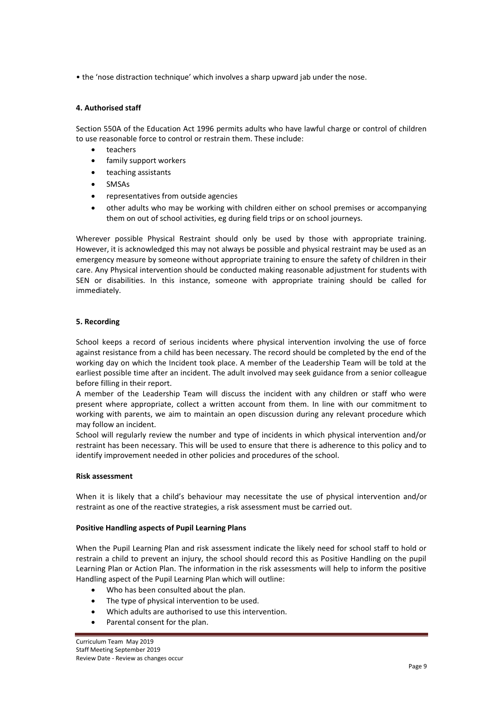• the 'nose distraction technique' which involves a sharp upward jab under the nose.

# **4. Authorised staff**

Section 550A of the Education Act 1996 permits adults who have lawful charge or control of children to use reasonable force to control or restrain them. These include:

- teachers
- family support workers
- teaching assistants
- SMSAs
- representatives from outside agencies
- other adults who may be working with children either on school premises or accompanying them on out of school activities, eg during field trips or on school journeys.

Wherever possible Physical Restraint should only be used by those with appropriate training. However, it is acknowledged this may not always be possible and physical restraint may be used as an emergency measure by someone without appropriate training to ensure the safety of children in their care. Any Physical intervention should be conducted making reasonable adjustment for students with SEN or disabilities. In this instance, someone with appropriate training should be called for immediately.

# **5. Recording**

School keeps a record of serious incidents where physical intervention involving the use of force against resistance from a child has been necessary. The record should be completed by the end of the working day on which the Incident took place. A member of the Leadership Team will be told at the earliest possible time after an incident. The adult involved may seek guidance from a senior colleague before filling in their report.

A member of the Leadership Team will discuss the incident with any children or staff who were present where appropriate, collect a written account from them. In line with our commitment to working with parents, we aim to maintain an open discussion during any relevant procedure which may follow an incident.

School will regularly review the number and type of incidents in which physical intervention and/or restraint has been necessary. This will be used to ensure that there is adherence to this policy and to identify improvement needed in other policies and procedures of the school.

## **Risk assessment**

When it is likely that a child's behaviour may necessitate the use of physical intervention and/or restraint as one of the reactive strategies, a risk assessment must be carried out.

## **Positive Handling aspects of Pupil Learning Plans**

When the Pupil Learning Plan and risk assessment indicate the likely need for school staff to hold or restrain a child to prevent an injury, the school should record this as Positive Handling on the pupil Learning Plan or Action Plan. The information in the risk assessments will help to inform the positive Handling aspect of the Pupil Learning Plan which will outline:

- Who has been consulted about the plan.
- The type of physical intervention to be used.
- Which adults are authorised to use this intervention.
- Parental consent for the plan.